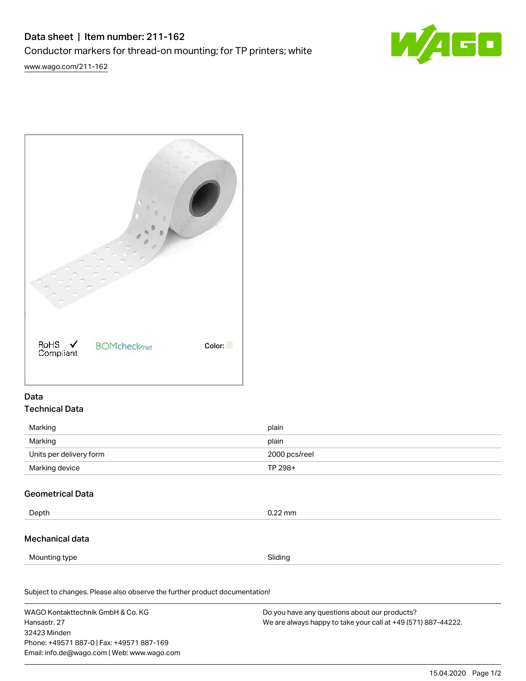# Data sheet | Item number: 211-162 Conductor markers for thread-on mounting; for TP printers; white

[www.wago.com/211-162](http://www.wago.com/211-162)



| RoHS √<br>Compliant | <b>BOMcheck</b> <sub>net</sub> | Color: |
|---------------------|--------------------------------|--------|

# Data Technical Data

| Marking                 | plain         |
|-------------------------|---------------|
| Marking                 | plain         |
| Units per delivery form | 2000 pcs/reel |
| Marking device          | TP 298+       |

## Geometrical Data

| Depth           | $0,22$ mm |
|-----------------|-----------|
| Mechanical data |           |

Mounting type **Sliding** 

Subject to changes. Please also observe the further product documentation! Material Data

WAGO Kontakttechnik GmbH & Co. KG Hansastr. 27 32423 Minden Phone: +49571 887-0 | Fax: +49571 887-169 Email: info.de@wago.com | Web: www.wago.com

Do you have any questions about our products? We are always happy to take your call at +49 (571) 887-44222.